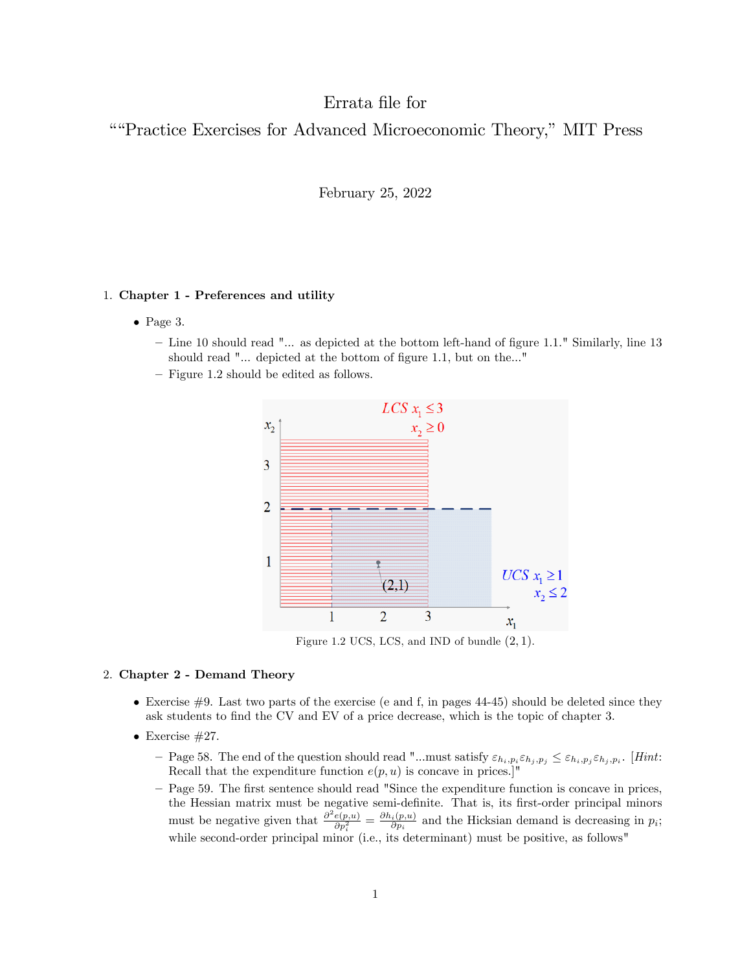# Errata Öle for

"Practice Exercises for Advanced Microeconomic Theory," MIT Press

February 25, 2022

# 1. Chapter 1 - Preferences and utility

- $\bullet$  Page 3.
	- $-$  Line 10 should read " $\ldots$  as depicted at the bottom left-hand of figure 1.1." Similarly, line 13 should read "... depicted at the bottom of figure 1.1, but on the..."
	- $\overline{\phantom{a}}$  Figure 1.2 should be edited as follows.



Figure 1.2 UCS, LCS, and IND of bundle  $(2, 1)$ .

# 2. Chapter 2 - Demand Theory

- $\bullet$  Exercise #9. Last two parts of the exercise (e and f, in pages 44-45) should be deleted since they ask students to find the CV and EV of a price decrease, which is the topic of chapter 3.
- $\bullet$  Exercise #27.
	- $\Gamma$  Page 58. The end of the question should read "...must satisfy  $\varepsilon_{h_i,p_i} \varepsilon_{h_j,p_j} \leq \varepsilon_{h_i,p_j} \varepsilon_{h_j,p_i}$ . [Hint: Recall that the expenditure function  $e(p, u)$  is concave in prices.]'
	- Page 59. The first sentence should read "Since the expenditure function is concave in prices, the Hessian matrix must be negative semi-definite. That is, its first-order principal minors must be negative given that  $\frac{\partial^2 e(p,u)}{\partial p_i^2} = \frac{\partial h_i(p,u)}{\partial p_i}$  $\frac{i(p,u)}{\partial p_i}$  and the Hicksian demand is decreasing in  $p_i$ ; while second-order principal minor (i.e., its determinant) must be positive, as follows"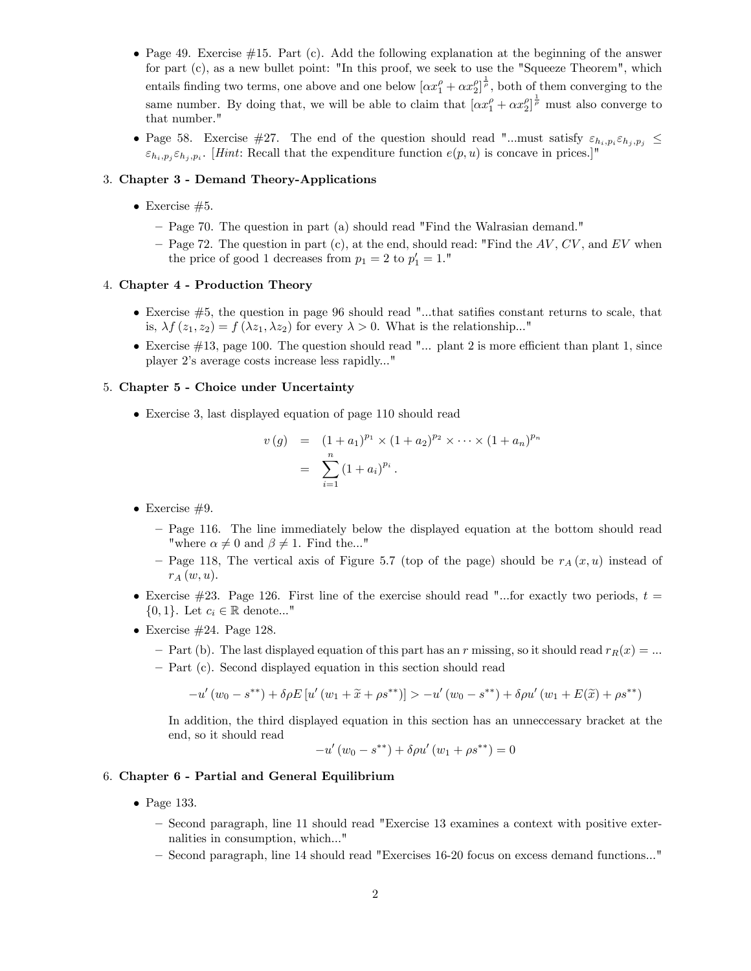- Page 49. Exercise  $\#15$ . Part (c). Add the following explanation at the beginning of the answer for part (c), as a new bullet point: "In this proof, we seek to use the "Squeeze Theorem", which entails finding two terms, one above and one below  $[\alpha x_1^{\rho} + \alpha x_2^{\rho}]^{\frac{1}{\rho}}$ , both of them converging to the same number. By doing that, we will be able to claim that  $[\alpha x_1^{\rho} + \alpha x_2^{\rho}]^{\frac{1}{\rho}}$  must also converge to that number."
- Page 58. Exercise #27. The end of the question should read "...must satisfy  $\varepsilon_{h_i,p_i} \varepsilon_{h_j,p_j} \leq$  $\varepsilon_{h_i,p_j} \varepsilon_{h_j,p_i}$ . [*Hint*: Recall that the expenditure function  $e(p, u)$  is concave in prices.]"

# 3. Chapter 3 - Demand Theory-Applications

- Exercise  $#5$ .
	- Page 70. The question in part (a) should read "Find the Walrasian demand."
	- Page 72. The question in part (c), at the end, should read: "Find the  $AV, CV$ , and EV when the price of good 1 decreases from  $p_1 = 2$  to  $p'_1 = 1$ ."

## 4. Chapter 4 - Production Theory

- $\bullet$  Exercise  $\#5$ , the question in page 96 should read "...that satifies constant returns to scale, that is,  $\lambda f(z_1, z_2) = f(\lambda z_1, \lambda z_2)$  for every  $\lambda > 0$ . What is the relationship..."
- Exercise  $\#13$ , page 100. The question should read "... plant 2 is more efficient than plant 1, since player 2ís average costs increase less rapidly..."

#### 5. Chapter 5 - Choice under Uncertainty

Exercise 3, last displayed equation of page 110 should read

$$
v(g) = (1 + a_1)^{p_1} \times (1 + a_2)^{p_2} \times \cdots \times (1 + a_n)^{p_n}
$$
  
= 
$$
\sum_{i=1}^n (1 + a_i)^{p_i}.
$$

- Exercise  $#9$ .
	- Page 116. The line immediately below the displayed equation at the bottom should read "where  $\alpha \neq 0$  and  $\beta \neq 1$ . Find the..."
	- Page 118, The vertical axis of Figure 5.7 (top of the page) should be  $r_A(x, u)$  instead of  $r_A(w, u)$ .
- Exercise  $\#23$ . Page 126. First line of the exercise should read "...for exactly two periods,  $t =$  $\{0,1\}$ . Let  $c_i \in \mathbb{R}$  denote..."
- $\bullet$  Exercise #24. Page 128.
	- $P$  Part (b). The last displayed equation of this part has an r missing, so it should read  $r_R(x) = ...$
	- Part (c). Second displayed equation in this section should read

$$
-u'(w_0 - s^{**}) + \delta \rho E[u'(w_1 + \tilde{x} + \rho s^{**})] > -u'(w_0 - s^{**}) + \delta \rho u'(w_1 + E(\tilde{x}) + \rho s^{**})
$$

In addition, the third displayed equation in this section has an unneccessary bracket at the end, so it should read

$$
-u'(w_0 - s^{**}) + \delta \rho u'(w_1 + \rho s^{**}) = 0
$$

#### 6. Chapter 6 - Partial and General Equilibrium

- Page 133.
	- Second paragraph, line 11 should read "Exercise 13 examines a context with positive externalities in consumption, which..."
	- Second paragraph, line 14 should read "Exercises 16-20 focus on excess demand functions..."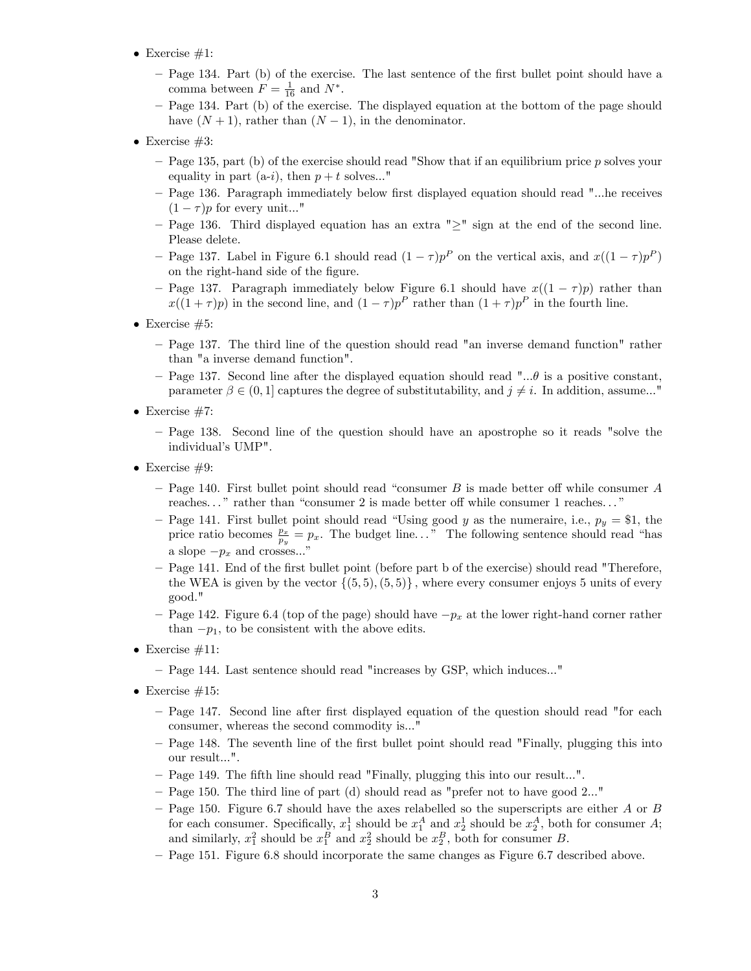- $\bullet$  Exercise #1:
	- Page 134. Part (b) of the exercise. The last sentence of the first bullet point should have a comma between  $F = \frac{1}{16}$  and  $N^*$ .
	- Page 134. Part (b) of the exercise. The displayed equation at the bottom of the page should have  $(N + 1)$ , rather than  $(N - 1)$ , in the denominator.
- Exercise  $#3$ :
	- Page 135, part (b) of the exercise should read "Show that if an equilibrium price p solves your equality in part (a-i), then  $p + t$  solves..."
	- Page 136. Paragraph immediately below first displayed equation should read "...he receives  $(1 - \tau)p$  for every unit..."
	- $P$ age 136. Third displayed equation has an extra " $>$ " sign at the end of the second line. Please delete.
	- Page 137. Label in Figure 6.1 should read  $(1 \tau)p^P$  on the vertical axis, and  $x((1 \tau)p^P)$ on the right-hand side of the figure.
	- Page 137. Paragraph immediately below Figure 6.1 should have  $x((1 \tau)p)$  rather than  $x((1+\tau)p)$  in the second line, and  $(1-\tau)p^P$  rather than  $(1+\tau)p^P$  in the fourth line.
- Exercise  $#5$ :
	- Page 137. The third line of the question should read "an inverse demand function" rather than "a inverse demand function".
	- Page 137. Second line after the displayed equation should read "... $\theta$  is a positive constant, parameter  $\beta \in (0,1]$  captures the degree of substitutability, and  $j \neq i$ . In addition, assume..."
- $\bullet$  Exercise #7:
	- Page 138. Second line of the question should have an apostrophe so it reads "solve the individual's UMP".
- Exercise  $#9$ :
	- Page 140. First bullet point should read "consumer B is made better off while consumer A reaches..." rather than "consumer 2 is made better off while consumer 1 reaches..."
	- Page 141. First bullet point should read "Using good y as the numeraire, i.e.,  $p_y = $1$ , the price ratio becomes  $\frac{p_x}{p_y} = p_x$ . The budget line..." The following sentence should read "has a slope  $-p_x$  and crosses..."
	- Page 141. End of the first bullet point (before part b of the exercise) should read "Therefore, the WEA is given by the vector  $\{(5, 5), (5, 5)\}\,$ , where every consumer enjoys 5 units of every good."
	- Page 142. Figure 6.4 (top of the page) should have  $-p_x$  at the lower right-hand corner rather than  $-p_1$ , to be consistent with the above edits.
- Exercise  $#11$ :
	- Page 144. Last sentence should read "increases by GSP, which induces..."
- Exercise  $#15$ :
	- Page 147. Second line after first displayed equation of the question should read "for each consumer, whereas the second commodity is..."
	- Page 148. The seventh line of the first bullet point should read "Finally, plugging this into our result...".
	- Page 149. The fifth line should read "Finally, plugging this into our result...".
	- $P^{\text{e}}$  Page 150. The third line of part (d) should read as "prefer not to have good 2..."
	- $P$  Page 150. Figure 6.7 should have the axes relabelled so the superscripts are either A or B for each consumer. Specifically,  $x_1^1$  should be  $x_1^A$  and  $x_2^1$  should be  $x_2^A$ , both for consumer A; and similarly,  $x_1^2$  should be  $x_1^B$  and  $x_2^2$  should be  $x_2^B$ , both for consumer B.
	- ñ Page 151. Figure 6.8 should incorporate the same changes as Figure 6.7 described above.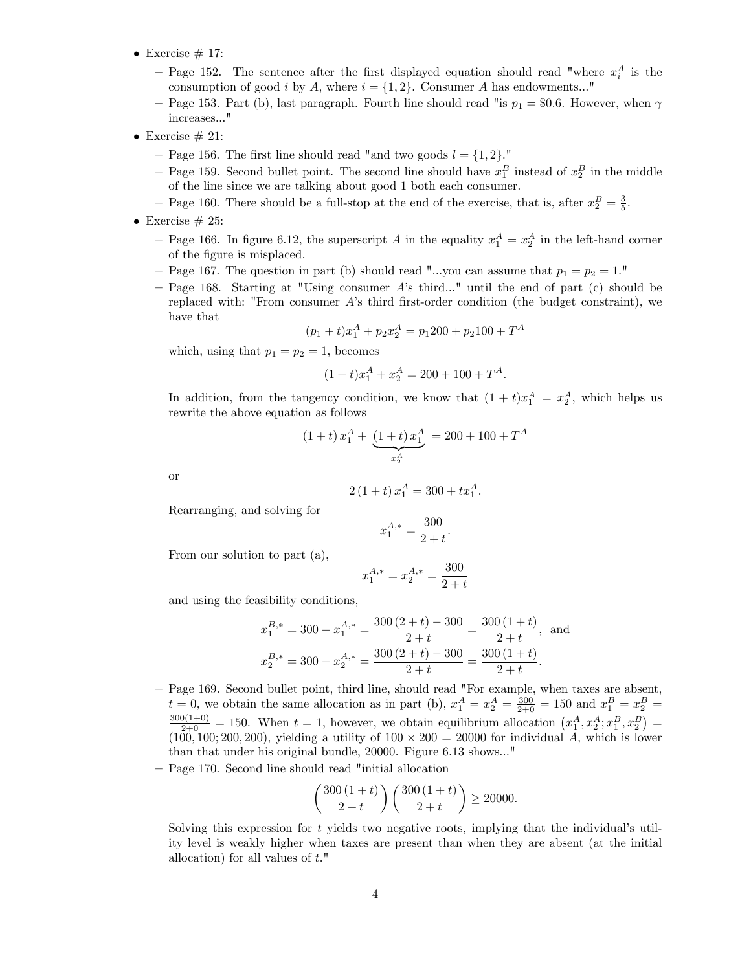- Exercise  $# 17$ :
	- Page 152. The sentence after the first displayed equation should read "where  $x_i^A$  is the consumption of good i by A, where  $i = \{1, 2\}$ . Consumer A has endowments..."
	- Page 153. Part (b), last paragraph. Fourth line should read "is  $p_1 = $0.6$ . However, when  $\gamma$ increases..."
- Exercise  $#21$ :
	- Page 156. The first line should read "and two goods  $l = \{1, 2\}$ ."
	- Page 159. Second bullet point. The second line should have  $x_1^B$  instead of  $x_2^B$  in the middle of the line since we are talking about good 1 both each consumer.
	- Page 160. There should be a full-stop at the end of the exercise, that is, after  $x_2^B = \frac{3}{5}$ .
- Exercise  $\#$  25:
	- Page 166. In figure 6.12, the superscript A in the equality  $x_1^A = x_2^A$  in the left-hand corner of the figure is misplaced.
	- Page 167. The question in part (b) should read "...you can assume that  $p_1 = p_2 = 1$ ."
	- $P$  Page 168. Starting at "Using consumer A's third..." until the end of part (c) should be replaced with: "From consumer  $A$ 's third first-order condition (the budget constraint), we have that

$$
(p_1 + t)x_1^A + p_2x_2^A = p_1 200 + p_2 100 + T^A
$$

which, using that  $p_1 = p_2 = 1$ , becomes

$$
(1+t)x_1^A + x_2^A = 200 + 100 + T^A.
$$

In addition, from the tangency condition, we know that  $(1 + t)x_1^A = x_2^A$ , which helps us rewrite the above equation as follows

$$
(1+t) x_1^A + \underbrace{(1+t) x_1^A}_{x_2^A} = 200 + 100 + T^A
$$

or

$$
2(1+t)x_1^A = 300 + tx_1^A.
$$

Rearranging, and solving for

$$
x_1^{A,*} = \frac{300}{2+t}.
$$

From our solution to part (a),

$$
x_1^{A,*} = x_2^{A,*} = \frac{300}{2+t}
$$

and using the feasibility conditions,

$$
x_1^{B,*} = 300 - x_1^{A,*} = \frac{300(2+t) - 300}{2+t} = \frac{300(1+t)}{2+t},
$$
 and  

$$
x_2^{B,*} = 300 - x_2^{A,*} = \frac{300(2+t) - 300}{2+t} = \frac{300(1+t)}{2+t}.
$$

- Page 169. Second bullet point, third line, should read "For example, when taxes are absent,  $t = 0$ , we obtain the same allocation as in part (b),  $x_1^A = x_2^A = \frac{300}{2+0} = 150$  and  $x_1^B = x_2^B =$  $\frac{300(1+0)}{2+0} = 150$ . When  $t = 1$ , however, we obtain equilibrium allocation  $\left(x_1^A, x_2^A; x_1^B, x_2^B\right) =$  $(100, 100, 200, 200)$ , yielding a utility of  $100 \times 200 = 20000$  for individual A, which is lower than that under his original bundle, 20000. Figure 6.13 shows..."
- Page 170. Second line should read "initial allocation

$$
\left(\frac{300\,(1+t)}{2+t}\right)\left(\frac{300\,(1+t)}{2+t}\right) \ge 20000.
$$

Solving this expression for  $t$  yields two negative roots, implying that the individual's utility level is weakly higher when taxes are present than when they are absent (at the initial allocation) for all values of t."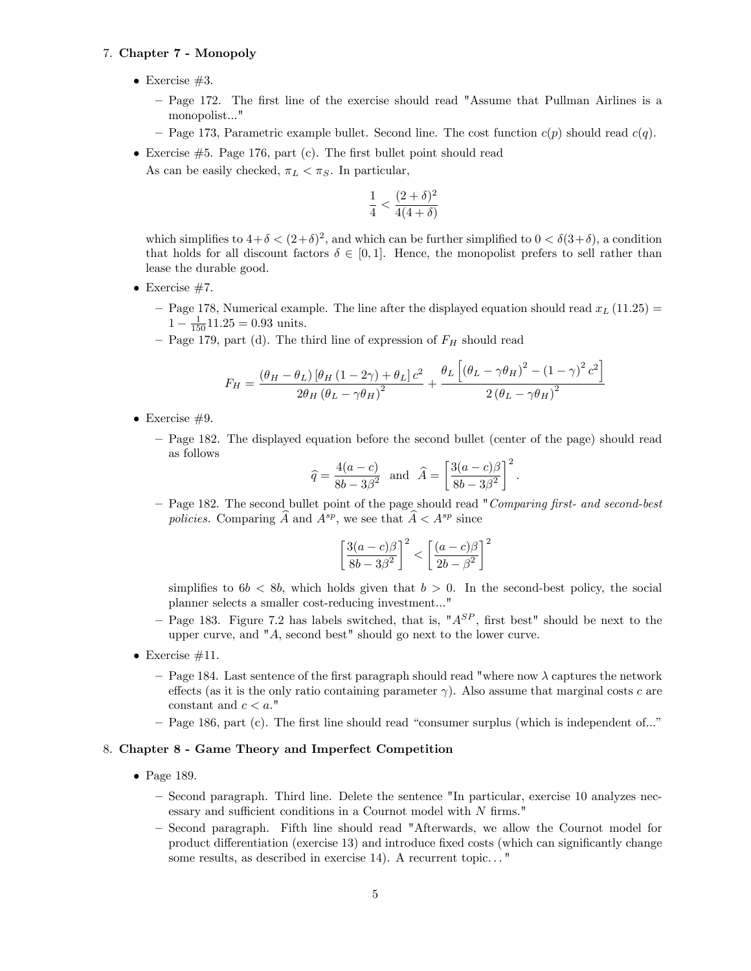# 7. Chapter 7 - Monopoly

- Exercise  $#3$ .
	- Page 172. The first line of the exercise should read "Assume that Pullman Airlines is a monopolist..."
	- Page 173, Parametric example bullet. Second line. The cost function  $c(p)$  should read  $c(q)$ .
- Exercise  $#5$ . Page 176, part (c). The first bullet point should read As can be easily checked,  $\pi_L < \pi_S$ . In particular,

$$
\frac{1}{4} < \frac{(2+\delta)^2}{4(4+\delta)}
$$

which simplifies to  $4+\delta < (2+\delta)^2$ , and which can be further simplified to  $0 < \delta(3+\delta)$ , a condition that holds for all discount factors  $\delta \in [0, 1]$ . Hence, the monopolist prefers to sell rather than lease the durable good.

- Exercise  $#7$ .
	- Page 178, Numerical example. The line after the displayed equation should read  $x_L$  (11.25) =  $1 - \frac{1}{150}$  11.25 = 0.93 units.
	- Page 179, part (d). The third line of expression of  $F_H$  should read

$$
F_H = \frac{\left(\theta_H - \theta_L\right)\left[\theta_H\left(1 - 2\gamma\right) + \theta_L\right]c^2}{2\theta_H\left(\theta_L - \gamma\theta_H\right)^2} + \frac{\theta_L\left[\left(\theta_L - \gamma\theta_H\right)^2 - \left(1 - \gamma\right)^2c^2\right]}{2\left(\theta_L - \gamma\theta_H\right)^2}
$$

- Exercise  $#9$ .
	- Page 182. The displayed equation before the second bullet (center of the page) should read as follows

$$
\hat{q} = \frac{4(a-c)}{8b-3\beta^2}
$$
 and  $\hat{A} = \left[\frac{3(a-c)\beta}{8b-3\beta^2}\right]^2$ 

:

– Page 182. The second bullet point of the page should read "Comparing first- and second-best" policies. Comparing  $\widehat{A}$  and  $A^{sp}$ , we see that  $\widehat{A} < A^{sp}$  since

$$
\left[\frac{3(a-c)\beta}{8b-3\beta^2}\right]^2 < \left[\frac{(a-c)\beta}{2b-\beta^2}\right]^2
$$

simplifies to  $6b < 8b$ , which holds given that  $b > 0$ . In the second-best policy, the social planner selects a smaller cost-reducing investment..."

- Page 183. Figure 7.2 has labels switched, that is, " $A^{SP}$ , first best" should be next to the upper curve, and "A, second best" should go next to the lower curve.
- $\bullet$  Exercise #11.
	- Page 184. Last sentence of the first paragraph should read "where now  $\lambda$  captures the network effects (as it is the only ratio containing parameter  $\gamma$ ). Also assume that marginal costs c are constant and  $c < a$ ."
	- Page 186, part (c). The first line should read "consumer surplus (which is independent of..."

### 8. Chapter 8 - Game Theory and Imperfect Competition

- Page 189.
	- Second paragraph. Third line. Delete the sentence "In particular, exercise 10 analyzes necessary and sufficient conditions in a Cournot model with  $N$  firms."
	- Second paragraph. Fifth line should read "Afterwards, we allow the Cournot model for product differentiation (exercise 13) and introduce fixed costs (which can significantly change some results, as described in exercise 14). A recurrent topic..."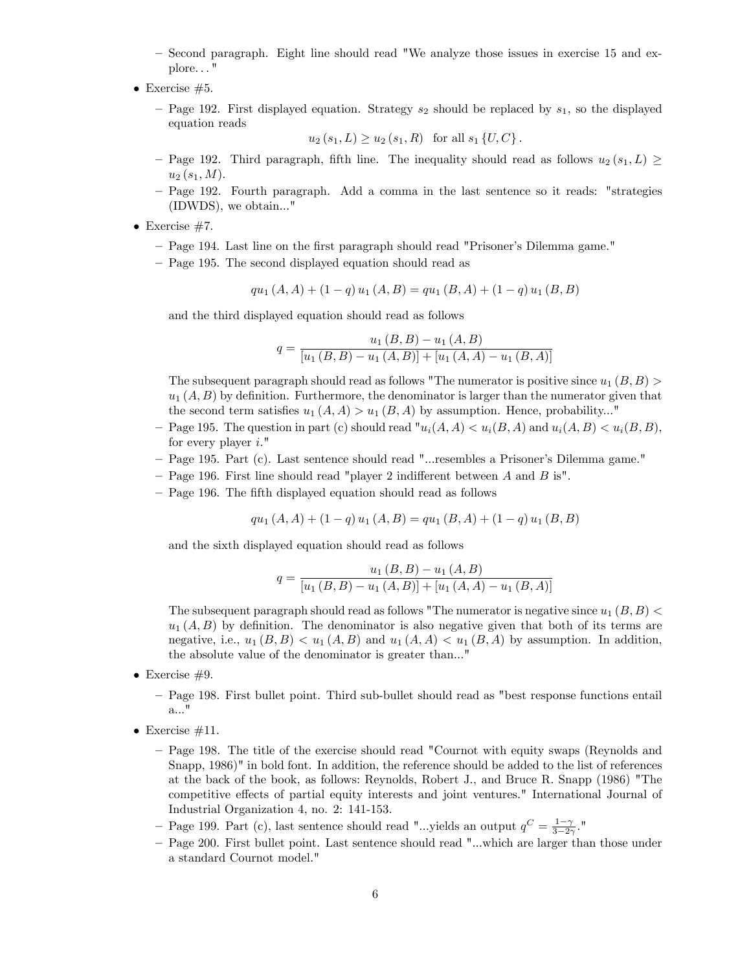- Second paragraph. Eight line should read "We analyze those issues in exercise 15 and explore. . . "
- Exercise  $#5$ .
	- Page 192. First displayed equation. Strategy  $s_2$  should be replaced by  $s_1$ , so the displayed equation reads

 $u_2 (s_1, L) > u_2 (s_1, R)$  for all  $s_1 \{U, C\}$ .

- Page 192. Third paragraph, fifth line. The inequality should read as follows  $u_2(s_1, L) \ge$  $u_2 (s_1, M)$ .
- Page 192. Fourth paragraph. Add a comma in the last sentence so it reads: "strategies (IDWDS), we obtain..."
- $\bullet$  Exercise #7.
	- Page 194. Last line on the first paragraph should read "Prisoner's Dilemma game."
	- Page 195. The second displayed equation should read as

$$
qu_1(A, A) + (1 - q) u_1(A, B) = qu_1(B, A) + (1 - q) u_1(B, B)
$$

and the third displayed equation should read as follows

$$
q = \frac{u_1(B, B) - u_1(A, B)}{[u_1(B, B) - u_1(A, B)] + [u_1(A, A) - u_1(B, A)]}
$$

The subsequent paragraph should read as follows "The numerator is positive since  $u_1(B, B)$  $u_1(A, B)$  by definition. Furthermore, the denominator is larger than the numerator given that the second term satisfies  $u_1(A, A) > u_1(B, A)$  by assumption. Hence, probability..."

- Page 195. The question in part (c) should read " $u_i(A, A) < u_i(B, A)$  and  $u_i(A, B) < u_i(B, B)$ , for every player  $i$ ."
- ñ Page 195. Part (c). Last sentence should read "...resembles a Prisonerís Dilemma game."
- $P$  Page 196. First line should read "player 2 indifferent between A and B is".
- Page 196. The fifth displayed equation should read as follows

$$
qu_1(A, A) + (1 - q) u_1(A, B) = qu_1(B, A) + (1 - q) u_1(B, B)
$$

and the sixth displayed equation should read as follows

$$
q = \frac{u_1(B, B) - u_1(A, B)}{[u_1(B, B) - u_1(A, B)] + [u_1(A, A) - u_1(B, A)]}
$$

The subsequent paragraph should read as follows "The numerator is negative since  $u_1 (B, B)$  $u_1(A, B)$  by definition. The denominator is also negative given that both of its terms are negative, i.e.,  $u_1 (B, B) < u_1 (A, B)$  and  $u_1 (A, A) < u_1 (B, A)$  by assumption. In addition, the absolute value of the denominator is greater than..."

- $\bullet$  Exercise #9.
	- ñ Page 198. First bullet point. Third sub-bullet should read as "best response functions entail a..."
- Exercise  $\#11$ .
	- Page 198. The title of the exercise should read "Cournot with equity swaps (Reynolds and Snapp, 1986)" in bold font. In addition, the reference should be added to the list of references at the back of the book, as follows: Reynolds, Robert J., and Bruce R. Snapp (1986) "The competitive effects of partial equity interests and joint ventures." International Journal of Industrial Organization 4, no. 2: 141-153.
	- Page 199. Part (c), last sentence should read "...yields an output  $q^C = \frac{1-\gamma}{3-2\gamma}$ ."
	- Page 200. First bullet point. Last sentence should read "...which are larger than those under a standard Cournot model."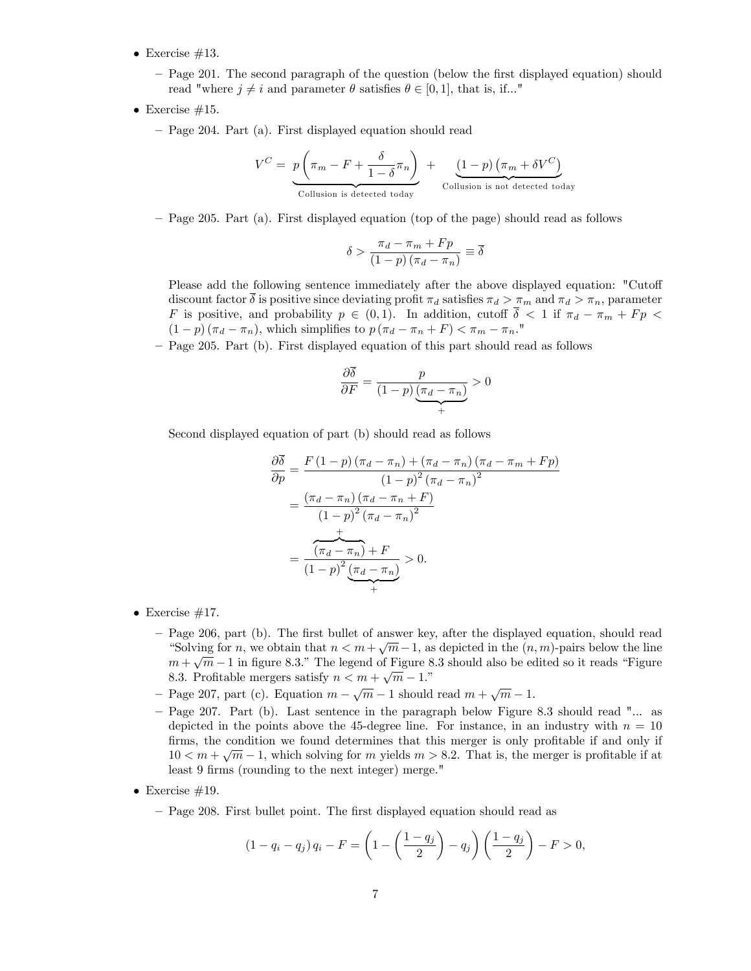- Exercise  $\#13$ .
	- Page 201. The second paragraph of the question (below the first displayed equation) should read "where  $j \neq i$  and parameter  $\theta$  satisfies  $\theta \in [0, 1]$ , that is, if..."
- Exercise  $#15$ .
	- Page 204. Part (a). First displayed equation should read

$$
V^{C} = \underbrace{p\left(\pi_{m} - F + \frac{\delta}{1 - \delta}\pi_{n}\right)}_{\text{Collision is detected today}} + \underbrace{(1 - p)\left(\pi_{m} + \delta V^{C}\right)}_{\text{Collision is not detected today}}
$$

ñ Page 205. Part (a). First displayed equation (top of the page) should read as follows

$$
\delta > \frac{\pi_d - \pi_m + Fp}{(1 - p)(\pi_d - \pi_n)} \equiv \overline{\delta}
$$

Please add the following sentence immediately after the above displayed equation: "Cutoff discount factor  $\overline{\delta}$  is positive since deviating profit  $\pi_d$  satisfies  $\pi_d > \pi_m$  and  $\pi_d > \pi_n$ , parameter F is positive, and probability  $p \in (0, 1)$ . In addition, cutoff  $\overline{\delta} < 1$  if  $\pi_d - \pi_m + F p <$  $(1 - p)(\pi_d - \pi_n)$ , which simplifies to  $p(\pi_d - \pi_n + F) < \pi_m - \pi_n$ ."

– Page 205. Part (b). First displayed equation of this part should read as follows

$$
\frac{\partial \delta}{\partial F} = \frac{p}{(1-p)\underbrace{(\pi_d - \pi_n)}} > 0
$$

Second displayed equation of part (b) should read as follows

$$
\frac{\partial \delta}{\partial p} = \frac{F(1-p)(\pi_d - \pi_n) + (\pi_d - \pi_n)(\pi_d - \pi_m + Fp)}{(1-p)^2 (\pi_d - \pi_n)^2}
$$

$$
= \frac{(\pi_d - \pi_n)(\pi_d - \pi_n + F)}{(1-p)^2 (\pi_d - \pi_n)^2}
$$

$$
= \frac{\pi}{(1-p)^2 \left(\pi_d - \pi_n\right)} \times 0.
$$

- $\bullet$  Exercise #17.
	- Page 206, part (b). The first bullet of answer key, after the displayed equation, should read "Solving for n, we obtain that  $n < m + \sqrt{m} - 1$ , as depicted in the  $(n, m)$ -pairs below the line  $m + \sqrt{m} - 1$  in figure 8.3." The legend of Figure 8.3 should also be edited so it reads "Figure 8.3. Profitable mergers satisfy  $n < m + \sqrt{m} - 1$ ."
	- Page 207, part (c). Equation  $m \sqrt{m} 1$  should read  $m + \sqrt{m} 1$ .
	- Page 207. Part (b). Last sentence in the paragraph below Figure 8.3 should read "... as depicted in the points above the 45-degree line. For instance, in an industry with  $n = 10$ firms, the condition we found determines that this merger is only profitable if and only if  $10 < m + \sqrt{m} - 1$ , which solving for m yields  $m > 8.2$ . That is, the merger is profitable if at least 9 firms (rounding to the next integer) merge."
- $\bullet$  Exercise #19.
	- Page 208. First bullet point. The first displayed equation should read as

$$
(1 - q_i - q_j) q_i - F = \left(1 - \left(\frac{1 - q_j}{2}\right) - q_j\right) \left(\frac{1 - q_j}{2}\right) - F > 0,
$$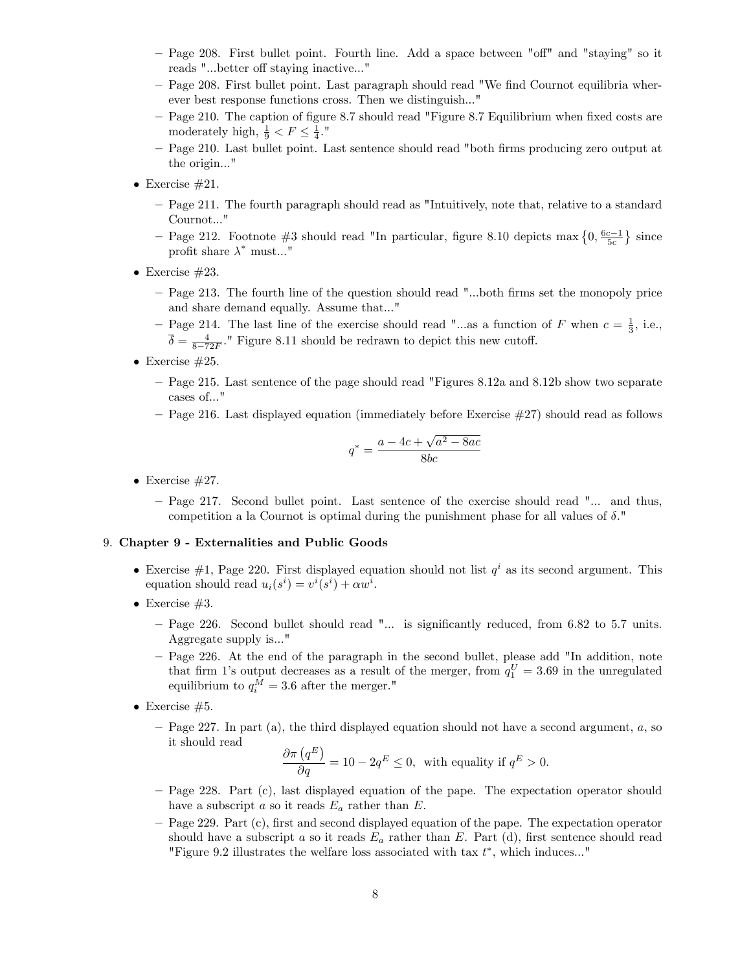- Page 208. First bullet point. Fourth line. Add a space between "off" and "staying" so it reads "...better off staying inactive..."
- Page 208. First bullet point. Last paragraph should read "We find Cournot equilibria wherever best response functions cross. Then we distinguish..."
- Page 210. The caption of figure 8.7 should read "Figure 8.7 Equilibrium when fixed costs are moderately high,  $\frac{1}{9} < F \leq \frac{1}{4}$ ."
- Page 210. Last bullet point. Last sentence should read "both firms producing zero output at the origin..."
- Exercise  $#21$ .
	- Page 211. The fourth paragraph should read as "Intuitively, note that, relative to a standard Cournot..."
	- Page 212. Footnote #3 should read "In particular, figure 8.10 depicts max  $\{0, \frac{6c-1}{5c}\}$  since profit share  $\lambda^*$  must..."
- $\bullet$  Exercise #23.
	- Page 213. The fourth line of the question should read "...both firms set the monopoly price and share demand equally. Assume that..."
	- Page 214. The last line of the exercise should read "...as a function of F when  $c = \frac{1}{3}$ , i.e.,  $\overline{\delta} = \frac{4}{8-72F}$ ." Figure 8.11 should be redrawn to depict this new cutoff.
- Exercise  $#25$ .
	- Page 215. Last sentence of the page should read "Figures 8.12a and 8.12b show two separate cases of..."
	- $P$  Page 216. Last displayed equation (immediately before Exercise  $#27$ ) should read as follows

$$
q^* = \frac{a - 4c + \sqrt{a^2 - 8ac}}{8bc}
$$

- Exercise  $\#27$ .
	- Page 217. Second bullet point. Last sentence of the exercise should read "... and thus, competition a la Cournot is optimal during the punishment phase for all values of  $\delta$ ."

#### 9. Chapter 9 - Externalities and Public Goods

- Exercise  $\#1$ , Page 220. First displayed equation should not list  $q<sup>i</sup>$  as its second argument. This equation should read  $u_i(s^i) = v^i(s^i) + \alpha w^i$ .
- $\bullet$  Exercise #3.
	- Page 226. Second bullet should read "... is significantly reduced, from 6.82 to 5.7 units. Aggregate supply is..."
	- Page 226. At the end of the paragraph in the second bullet, please add "In addition, note that firm 1's output decreases as a result of the merger, from  $q_1^U = 3.69$  in the unregulated equilibrium to  $q_i^M = 3.6$  after the merger."
- Exercise  $#5$ .
	- $P$  Page 227. In part (a), the third displayed equation should not have a second argument, a, so it should read

$$
\frac{\partial \pi (q^E)}{\partial q} = 10 - 2q^E \le 0, \text{ with equality if } q^E > 0.
$$

- Page 228. Part (c), last displayed equation of the pape. The expectation operator should have a subscript a so it reads  $E_a$  rather than E.
- Page 229. Part (c), first and second displayed equation of the pape. The expectation operator should have a subscript a so it reads  $E_a$  rather than E. Part (d), first sentence should read "Figure 9.2 illustrates the welfare loss associated with tax  $t^*$ , which induces..."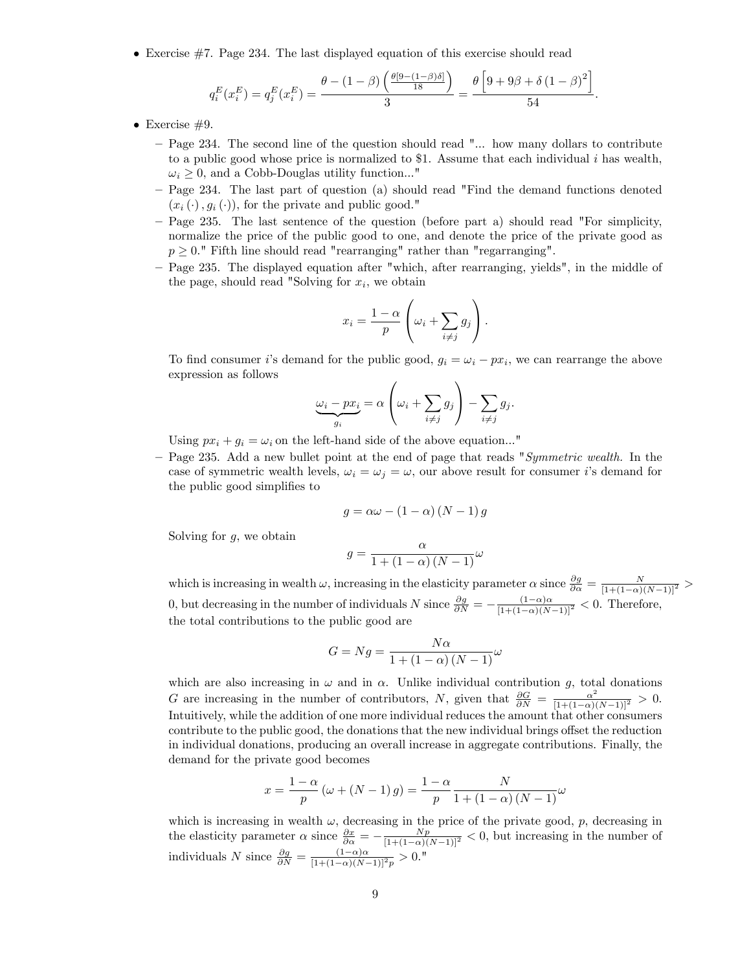Exercise #7. Page 234. The last displayed equation of this exercise should read

$$
q_i^E(x_i^E) = q_j^E(x_i^E) = \frac{\theta - (1 - \beta) \left(\frac{\theta[9 - (1 - \beta)\delta]}{18}\right)}{3} = \frac{\theta \left[9 + 9\beta + \delta (1 - \beta)^2\right]}{54}.
$$

- Exercise  $#9$ .
	- Page 234. The second line of the question should read "... how many dollars to contribute to a public good whose price is normalized to \$1. Assume that each individual  $i$  has wealth,  $\omega_i \geq 0$ , and a Cobb-Douglas utility function..."
	- Page 234. The last part of question (a) should read "Find the demand functions denoted  $(x_i (\cdot), g_i (\cdot))$ , for the private and public good."
	- Page 235. The last sentence of the question (before part a) should read "For simplicity, normalize the price of the public good to one, and denote the price of the private good as  $p \geq 0$ ." Fifth line should read "rearranging" rather than "regarranging".
	- Page 235. The displayed equation after "which, after rearranging, yields", in the middle of the page, should read "Solving for  $x_i$ , we obtain

$$
x_i = \frac{1-\alpha}{p} \left( \omega_i + \sum_{i \neq j} g_j \right).
$$

To find consumer i's demand for the public good,  $g_i = \omega_i - px_i$ , we can rearrange the above expression as follows  $\overline{a}$ 

$$
\underbrace{\omega_i - px_i}_{g_i} = \alpha \left( \omega_i + \sum_{i \neq j} g_j \right) - \sum_{i \neq j} g_j.
$$

Using  $px_i + g_i = \omega_i$  on the left-hand side of the above equation..."

– Page 235. Add a new bullet point at the end of page that reads "Symmetric wealth. In the case of symmetric wealth levels,  $\omega_i = \omega_j = \omega$ , our above result for consumer i's demand for the public good simplifies to

$$
g = \alpha \omega - (1 - \alpha) (N - 1) g
$$

Solving for  $g$ , we obtain

$$
g = \frac{\alpha}{1 + (1 - \alpha)(N - 1)} \omega
$$

which is increasing in wealth  $\omega$ , increasing in the elasticity parameter  $\alpha$  since  $\frac{\partial g}{\partial \alpha} = \frac{N}{[1+(1-\alpha)(N-1)]^2} >$ 0, but decreasing in the number of individuals N since  $\frac{\partial g}{\partial N} = -\frac{(1-\alpha)\alpha}{[1+(1-\alpha)(N-1)]^2} < 0$ . Therefore, the total contributions to the public good are

$$
G = Ng = \frac{N\alpha}{1 + (1 - \alpha)(N - 1)}\omega
$$

which are also increasing in  $\omega$  and in  $\alpha$ . Unlike individual contribution g, total donations G are increasing in the number of contributors, N, given that  $\frac{\partial G}{\partial N} = \frac{\alpha^2}{[1+(1-\alpha)(N-1)]^2} > 0$ . Intuitively, while the addition of one more individual reduces the amount that other consumers contribute to the public good, the donations that the new individual brings offset the reduction in individual donations, producing an overall increase in aggregate contributions. Finally, the demand for the private good becomes

$$
x = \frac{1 - \alpha}{p} \left( \omega + (N - 1) g \right) = \frac{1 - \alpha}{p} \frac{N}{1 + (1 - \alpha) (N - 1)} \omega
$$

which is increasing in wealth  $\omega$ , decreasing in the price of the private good, p, decreasing in the elasticity parameter  $\alpha$  since  $\frac{\partial x}{\partial \alpha} = -\frac{Np}{[1+(1-\alpha)(N-1)]^2} < 0$ , but increasing in the number of individuals N since  $\frac{\partial g}{\partial N} = \frac{(1-\alpha)\alpha}{[1+(1-\alpha)(N-1)]^2 p} > 0$ ."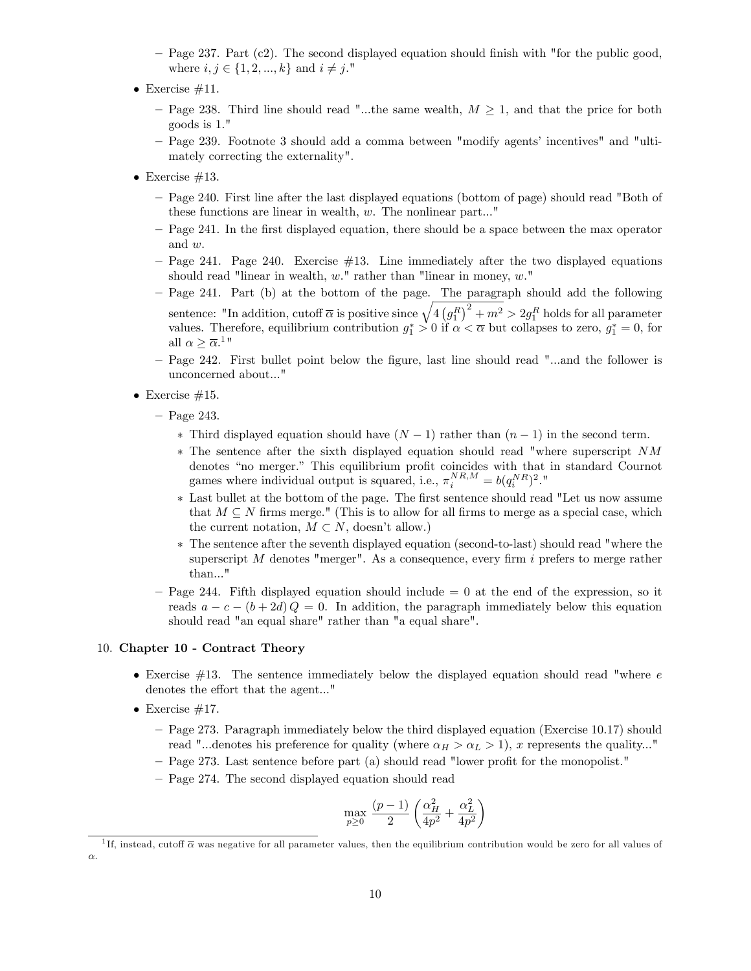- $P$  Page 237. Part (c2). The second displayed equation should finish with "for the public good, where  $i, j \in \{1, 2, ..., k\}$  and  $i \neq j$ ."
- $\bullet$  Exercise #11.
	- Page 238. Third line should read "...the same wealth,  $M \geq 1$ , and that the price for both goods is 1."
	- Page 239. Footnote 3 should add a comma between "modify agents' incentives" and "ultimately correcting the externality".
- Exercise  $\#13$ .
	- Page 240. First line after the last displayed equations (bottom of page) should read "Both of these functions are linear in wealth, w. The nonlinear part..."
	- Page 241. In the first displayed equation, there should be a space between the max operator and w.
	- $P$  Page 241. Page 240. Exercise  $#13$ . Line immediately after the two displayed equations should read "linear in wealth,  $w$ ." rather than "linear in money,  $w$ ."
	- $P$  Page 241. Part (b) at the bottom of the page. The paragraph should add the following sentence: "In addition, cutoff  $\overline{\alpha}$  is positive since  $\sqrt{4(g_1^R)^2 + m^2} > 2g_1^R$  holds for all parameter values. Therefore, equilibrium contribution  $g_1^* > 0$  if  $\alpha < \overline{\alpha}$  but collapses to zero,  $g_1^* = 0$ , for all  $\alpha \geq \overline{\alpha}$ .<sup>1</sup>
	- Page 242. First bullet point below the figure, last line should read "...and the follower is unconcerned about..."
- Exercise  $#15$ .
	- $-$  Page 243.
		- \* Third displayed equation should have  $(N 1)$  rather than  $(n 1)$  in the second term.
		- The sentence after the sixth displayed equation should read "where superscript NM denotes "no merger." This equilibrium profit coincides with that in standard Cournot games where individual output is squared, i.e.,  $\pi_i^{NR,M} = b(q_i^{NR})^2$ ."
		- \* Last bullet at the bottom of the page. The first sentence should read "Let us now assume that  $M \subseteq N$  firms merge." (This is to allow for all firms to merge as a special case, which the current notation,  $M \subset N$ , doesn't allow.)
		- The sentence after the seventh displayed equation (second-to-last) should read "where the superscript  $M$  denotes "merger". As a consequence, every firm  $i$  prefers to merge rather than..."
	- $P$ age 244. Fifth displayed equation should include  $= 0$  at the end of the expression, so it reads  $a - c - (b + 2d) Q = 0$ . In addition, the paragraph immediately below this equation should read "an equal share" rather than "a equal share".

#### 10. Chapter 10 - Contract Theory

- Exercise  $#13$ . The sentence immediately below the displayed equation should read "where  $e$ denotes the effort that the agent..."
- $\bullet$  Exercise #17.
	- ñ Page 273. Paragraph immediately below the third displayed equation (Exercise 10.17) should read "...denotes his preference for quality (where  $\alpha_H > \alpha_L > 1$ ), x represents the quality..."
	- Page 273. Last sentence before part (a) should read "lower profit for the monopolist."
	- Page 274. The second displayed equation should read

$$
\max_{p\geq 0}\,\frac{(p-1)}{2}\left(\frac{\alpha_H^2}{4p^2}+\frac{\alpha_L^2}{4p^2}\right)
$$

<sup>&</sup>lt;sup>1</sup>If, instead, cutoff  $\overline{\alpha}$  was negative for all parameter values, then the equilibrium contribution would be zero for all values of  $\alpha$ .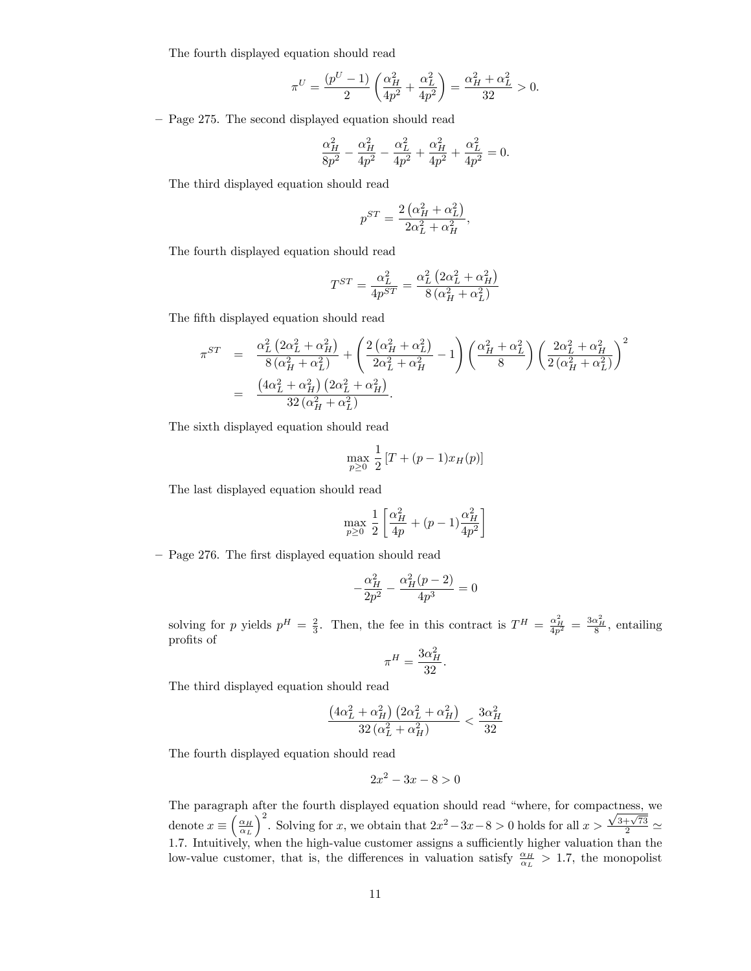The fourth displayed equation should read

$$
\pi^U = \frac{(p^U-1)}{2}\left(\frac{\alpha_H^2}{4p^2} + \frac{\alpha_L^2}{4p^2}\right) = \frac{\alpha_H^2 + \alpha_L^2}{32} > 0.
$$

- Page 275. The second displayed equation should read

$$
\frac{\alpha_H^2}{8p^2} - \frac{\alpha_H^2}{4p^2} - \frac{\alpha_L^2}{4p^2} + \frac{\alpha_H^2}{4p^2} + \frac{\alpha_L^2}{4p^2} = 0.
$$

The third displayed equation should read

$$
p^{ST} = \frac{2\left(\alpha_H^2 + \alpha_L^2\right)}{2\alpha_L^2 + \alpha_H^2},
$$

The fourth displayed equation should read

$$
T^{ST} = \frac{\alpha_L^2}{4p^{ST}} = \frac{\alpha_L^2 \left(2\alpha_L^2 + \alpha_H^2\right)}{8\left(\alpha_H^2 + \alpha_L^2\right)}
$$

The fifth displayed equation should read

$$
\pi^{ST} = \frac{\alpha_L^2 (2\alpha_L^2 + \alpha_H^2)}{8(\alpha_H^2 + \alpha_L^2)} + \left(\frac{2(\alpha_H^2 + \alpha_L^2)}{2\alpha_L^2 + \alpha_H^2} - 1\right) \left(\frac{\alpha_H^2 + \alpha_L^2}{8}\right) \left(\frac{2\alpha_L^2 + \alpha_H^2}{2(\alpha_H^2 + \alpha_L^2)}\right)^2
$$
  
= 
$$
\frac{(4\alpha_L^2 + \alpha_H^2) (2\alpha_L^2 + \alpha_H^2)}{32(\alpha_H^2 + \alpha_L^2)}.
$$

The sixth displayed equation should read

$$
\max_{p \ge 0} \frac{1}{2} [T + (p-1)x_H(p)]
$$

The last displayed equation should read

$$
\max_{p \geq 0} \frac{1}{2} \left[ \frac{\alpha_H^2}{4p} + (p-1) \frac{\alpha_H^2}{4p^2} \right]
$$

- Page 276. The first displayed equation should read

$$
-\frac{\alpha_H^2}{2p^2} - \frac{\alpha_H^2(p-2)}{4p^3} = 0
$$

solving for p yields  $p^H = \frac{2}{3}$ . Then, the fee in this contract is  $T^H = \frac{\alpha_H^2}{4p^2} = \frac{3\alpha_H^2}{8}$ , entailing profits of

$$
\pi^H=\frac{3\alpha_H^2}{32}
$$

.

The third displayed equation should read

$$
\frac{\left(4 \alpha_L^2+\alpha_H^2\right) \left(2 \alpha_L^2+\alpha_H^2\right)}{32 \left(\alpha_L^2+\alpha_H^2\right)}<\frac{3 \alpha_H^2}{32}
$$

The fourth displayed equation should read

$$
2x^2 - 3x - 8 > 0
$$

The paragraph after the fourth displayed equation should read "where, for compactness, we denote  $x \equiv \left(\frac{\alpha_H}{\alpha_L}\right)$  $\int_{0}^{2}$ . Solving for x, we obtain that  $2x^{2}-3x-8>0$  holds for all  $x>\frac{\sqrt{3+\sqrt{73}}}{2}\simeq$ 1.7. Intuitively, when the high-value customer assigns a sufficiently higher valuation than the low-value customer, that is, the differences in valuation satisfy  $\frac{\alpha_H}{\alpha_L} > 1.7$ , the monopolist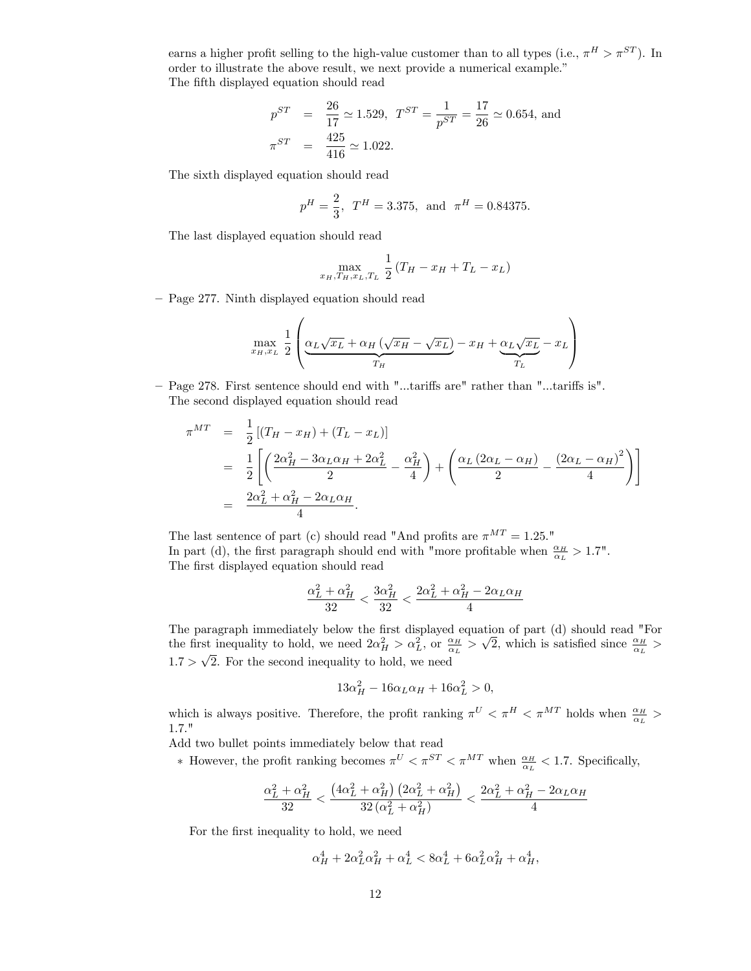earns a higher profit selling to the high-value customer than to all types (i.e.,  $\pi^H > \pi^{ST}$ ). In order to illustrate the above result, we next provide a numerical example.<sup>"</sup> The fifth displayed equation should read

$$
p^{ST} = \frac{26}{17} \approx 1.529, \ T^{ST} = \frac{1}{p^{ST}} = \frac{17}{26} \approx 0.654, \text{ and}
$$

$$
\pi^{ST} = \frac{425}{416} \approx 1.022.
$$

The sixth displayed equation should read

$$
p^H = \frac{2}{3}
$$
,  $T^H = 3.375$ , and  $\pi^H = 0.84375$ .

The last displayed equation should read

$$
\max_{x_H, T_H, x_L, T_L} \frac{1}{2} (T_H - x_H + T_L - x_L)
$$

- Page 277. Ninth displayed equation should read

$$
\max_{x_H, x_L} \frac{1}{2} \left( \underbrace{\alpha_L \sqrt{x_L} + \alpha_H \left( \sqrt{x_H} - \sqrt{x_L} \right)}_{T_H} - x_H + \underbrace{\alpha_L \sqrt{x_L}}_{T_L} - x_L \right)
$$

– Page 278. First sentence should end with "...tariffs are" rather than "...tariffs is". The second displayed equation should read

$$
\pi^{MT} = \frac{1}{2} [(T_H - x_H) + (T_L - x_L)]
$$
  
=  $\frac{1}{2} \left[ \left( \frac{2\alpha_H^2 - 3\alpha_L \alpha_H + 2\alpha_L^2}{2} - \frac{\alpha_H^2}{4} \right) + \left( \frac{\alpha_L (2\alpha_L - \alpha_H)}{2} - \frac{(2\alpha_L - \alpha_H)^2}{4} \right) \right]$   
=  $\frac{2\alpha_L^2 + \alpha_H^2 - 2\alpha_L \alpha_H}{4}.$ 

The last sentence of part (c) should read "And profits are  $\pi^{MT} = 1.25$ ." In part (d), the first paragraph should end with "more profitable when  $\frac{\alpha_H}{\alpha_L} > 1.7$ ". The first displayed equation should read

$$
\frac{\alpha_L^2+\alpha_H^2}{32}<\frac{3\alpha_H^2}{32}<\frac{2\alpha_L^2+\alpha_H^2-2\alpha_L\alpha_H}{4}
$$

The paragraph immediately below the first displayed equation of part (d) should read "For the first inequality to hold, we need  $2\alpha_H^2 > \alpha_L^2$ , or  $\frac{\alpha_H}{\alpha_L} > \sqrt{2}$ , which is satisfied since  $\frac{\alpha_H}{\alpha_L} >$  $1.7 > \sqrt{2}$ . For the second inequality to hold, we need

$$
13\alpha_H^2 - 16\alpha_L\alpha_H + 16\alpha_L^2 > 0,
$$

which is always positive. Therefore, the profit ranking  $\pi^U < \pi^H < \pi^{MT}$  holds when  $\frac{\alpha_H}{\alpha_L} >$ 1:7."

Add two bullet points immediately below that read

 $*$  However, the profit ranking becomes  $\pi^U < \pi^{ST} < \pi^{MT}$  when  $\frac{\alpha_H}{\alpha_L} < 1.7$ . Specifically,

$$
\frac{\alpha_L^2+\alpha_H^2}{32}<\frac{\left(4\alpha_L^2+\alpha_H^2\right)\left(2\alpha_L^2+\alpha_H^2\right)}{32\left(\alpha_L^2+\alpha_H^2\right)}<\frac{2\alpha_L^2+\alpha_H^2-2\alpha_L\alpha_H}{4}
$$

For the first inequality to hold, we need

$$
\alpha_H^4 + 2\alpha_L^2 \alpha_H^2 + \alpha_L^4 < 8\alpha_L^4 + 6\alpha_L^2 \alpha_H^2 + \alpha_H^4,
$$